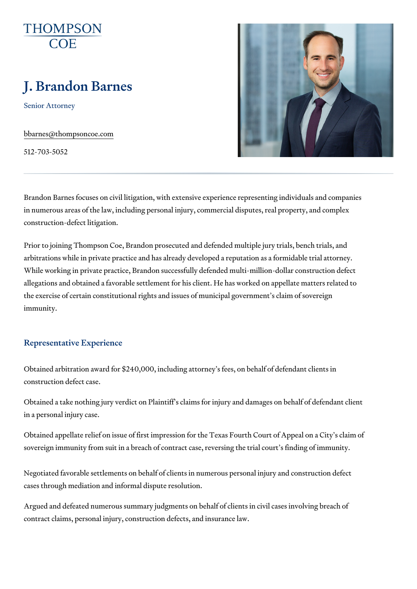# J. Brandon Barnes

Senior Attorney

[bbarnes@thompso](mailto:bbarnes@thompsoncoe.com)ncoe.com

512-703-5052

Brandon Barnes focuses on civil litigation, with extensive experience repre in numerous areas of the law, including personal injury, commercial disput construction-defect litigation.

Prior to joining Thompson Coe, Brandon prosecuted and defended multiple arbitrations while in private practice and has already developed a reputati While working in private practice, Brandon successfully defended multi-mil allegations and obtained a favorable settlement for his client. He has work the exercise of certain constitutional rights and issues of municipal gover immunity.

#### Representative Experience

Obtained arbitration award for  $$240,000$ , including attorney s fees, on beh construction defect case.

Obtained a take nothing jury verdict on Plaintiff s claims for injury and da in a personal injury case.

Obtained appellate relief on issue of first impression for the Texas Fourth sovereign immunity from suit in a breach of contract case, reversing the tr

Negotiated favorable settlements on behalf of clients in numerous personal cases through mediation and informal dispute resolution.

Argued and defeated numerous summary judgments on behalf of clients in contract claims, personal injury, construction defects, and insurance law.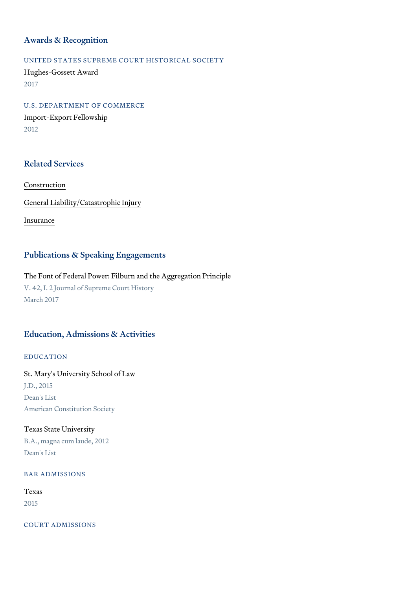#### Awards & Recognition

UNITED STATES SUPREME COURT HISTORICAL SOCIETY Hughes-Gossett Award 2017

U.S. DEPARTMENT OF COMMERCE Import-Export Fellowship 2012

### Related Services

#### [Constru](https://www.thompsoncoe.com/people/j-brandon-barnes/)ction

[General Liability/Catas](https://www.thompsoncoe.com/people/j-brandon-barnes/)trophic Injury

[Insura](https://www.thompsoncoe.com/people/j-brandon-barnes/)nce

#### Publications & Speaking Engagements

The Font of Federal Power: Filburn and the Aggregation Principle V. 42, I. 2 Journal of Supreme Court History March 2017

### Education, Admissions & Activities

EDUCATION

St. Mary's University School of Law J.D., 2015 Dean's List American Constitution Society

### Texas State University

B.A., magna cum laude, 2012 Dean's List

#### BAR ADMISSIONS

### Texas

2015

COURT ADMISSIONS